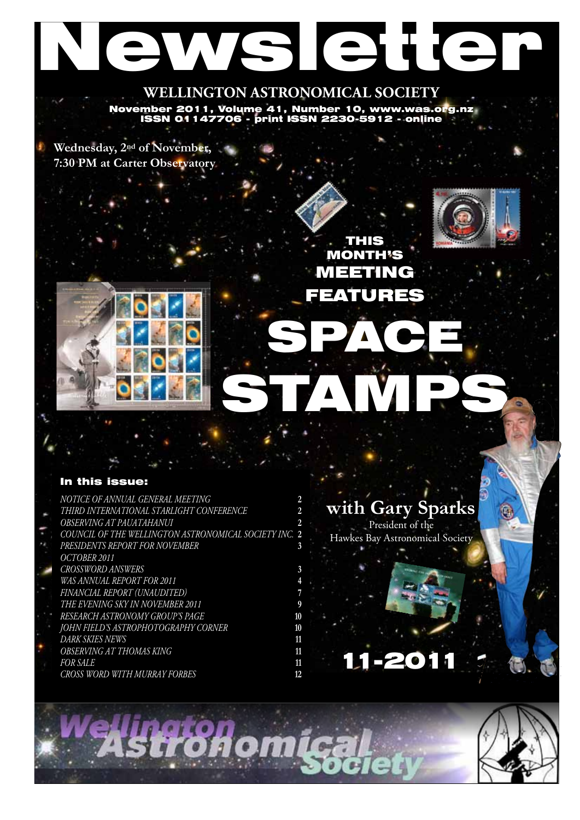# Newsletter

**WELLINGTON ASTRONOMICAL SOCIETY** November 2011, Volume 41, Number 10, www.was.org.nz ISSN 01147706 - print ISSN 2230-5912 - online

**Wednesday, 2nd of November, 7:30 PM at Carter Observatory**





THIS MONTH'S MEETING FEATURES

SPACE,

#### In this issue:

- *Notice of Annual General Meeting* **2**
- *Third International Starlight Conference* **2**
- *OBSERVING AT PAUATAHANUI* **2**
- *COUNCIL OF THE WELLINGTON ASTRONOMICAL SOCIETY INC.* **2**
- *Presidents Report for November* **3**
- *October 2011 Crossword answers* **3** *WAS ANNUAL REPORT for 2011* **4** *Financial Report (Unaudited)* **7** *The Evening Sky in November 2011* **9**
- *Research Astronomy Group's Page* **10**
- *John Field's astrophotography corner* **10** *Dark Skies News* **11** *OBSERVING AT THOMAS KING* **11**
	- *FOR SALE* **11** *Cross Word with Murray Forbes* **12**

### **with Gary Sparks**

President of the Hawkes Bay Astronomical Society

## 11-2011



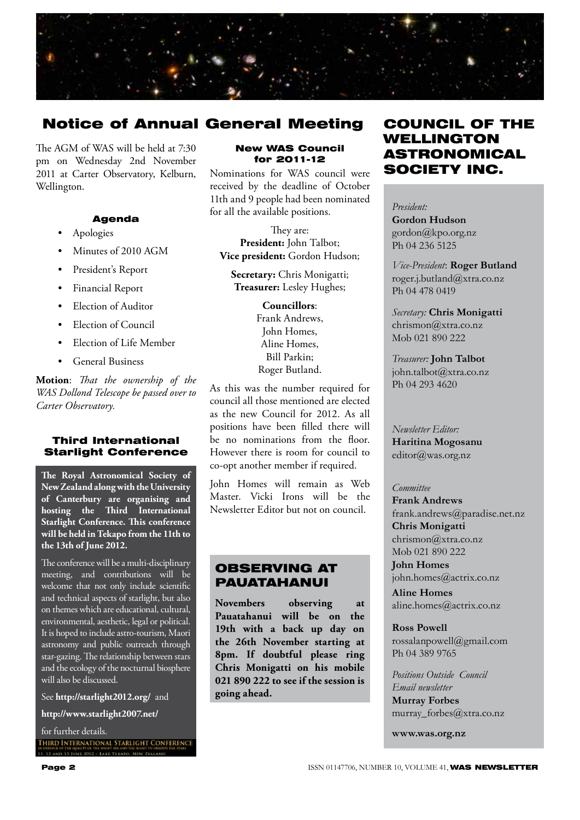

#### Notice of Annual General Meeting

The AGM of WAS will be held at 7:30 pm on Wednesday 2nd November 2011 at Carter Observatory, Kelburn, Wellington.

#### Agenda

- Apologies
- Minutes of 2010 AGM
- President's Report
- Financial Report
- Election of Auditor
- Election of Council
- Election of Life Member
- General Business

**Motion**: *That the ownership of the WAS Dollond Telescope be passed over to Carter Observatory.*

#### Third International Starlight Conference

**The Royal Astronomical Society of New Zealand along with the University of Canterbury are organising and hosting the Third International Starlight Conference. This conference will be held in Tekapo from the 11th to the 13th of June 2012.** 

The conference will be a multi-disciplinary meeting, and contributions will be welcome that not only include scientific and technical aspects of starlight, but also on themes which are educational, cultural, environmental, aesthetic, legal or political. It is hoped to include astro-tourism, Maori astronomy and public outreach through star-gazing. The relationship between stars and the ecology of the nocturnal biosphere will also be discussed.

See **http://starlight2012.org/** and

**http://www.starlight2007.net/** 

for further details.<br>IHIRD INTERNATIONAL STARLIGHT CONFERENCE DEHNCE OF THE OUNE<br>1. 12 AND 13 BINE Y OF THE SHEET SKY AND THE RIGHT TO (<br>2012 – LAKE TEKAPO, NEW ZEAL

#### New WAS Council for 2011-12

Nominations for WAS council were received by the deadline of October 11th and 9 people had been nominated for all the available positions.

They are: **President:** John Talbot; **Vice president:** Gordon Hudson;

**Secretary:** Chris Monigatti; **Treasurer:** Lesley Hughes;

> **Councillors**: Frank Andrews, John Homes, Aline Homes, Bill Parkin; Roger Butland.

As this was the number required for council all those mentioned are elected as the new Council for 2012. As all positions have been filled there will be no nominations from the floor. However there is room for council to co-opt another member if required.

John Homes will remain as Web Master. Vicki Irons will be the Newsletter Editor but not on council.

#### OBSERVING AT PAUATAHANUI

**Novembers observing at Pauatahanui will be on the 19th with a back up day on the 26th November starting at 8pm. If doubtful please ring Chris Monigatti on his mobile 021 890 222 to see if the session is going ahead.**

#### COUNCIL OF THE WELLINGTON ASTRONOMICAL SOCIETY INC.

*President:*  **Gordon Hudson** gordon@kpo.org.nz Ph 04 236 5125

*Vice-President*: **Roger Butland** roger.j.butland@xtra.co.nz Ph 04 478 0419

*Secretary:* **Chris Monigatti** chrismon@xtra.co.nz Mob 021 890 222

*Treasurer:* **John Talbot** john.talbot@xtra.co.nz Ph 04 293 4620

*Newsletter Editor:*  **Haritina Mogosanu** editor@was.org.nz

#### *Committee*

**Frank Andrews** frank.andrews@paradise.net.nz **Chris Monigatti** chrismon@xtra.co.nz Mob 021 890 222

**John Homes** john.homes@actrix.co.nz

**Aline Homes** aline.homes@actrix.co.nz

**Ross Powell** rossalanpowell@gmail.com Ph 04 389 9765

*Positions Outside Council Email newsletter* **Murray Forbes** murray\_forbes@xtra.co.nz

**www.was.org.nz**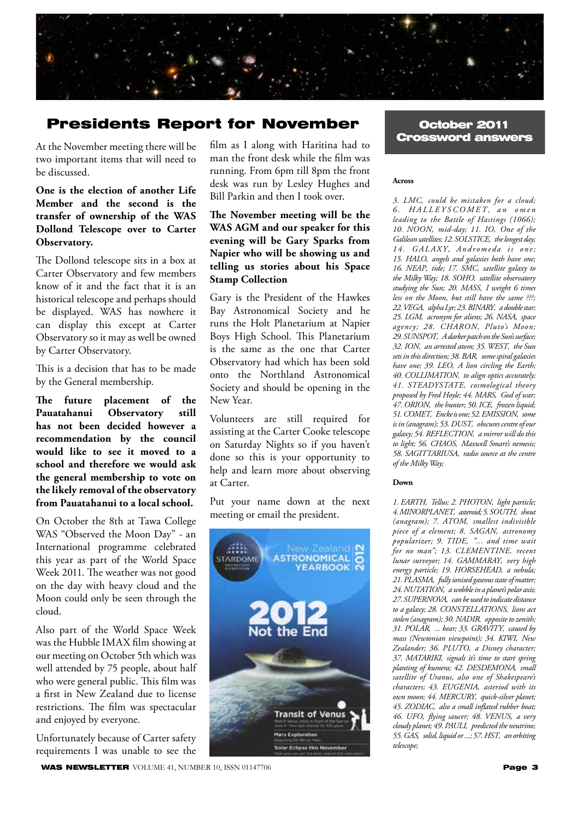

#### Presidents Report for November Coctober 2011

At the November meeting there will be two important items that will need to be discussed.

#### **One is the election of another Life Member and the second is the transfer of ownership of the WAS Dollond Telescope over to Carter Observatory.**

The Dollond telescope sits in a box at Carter Observatory and few members know of it and the fact that it is an historical telescope and perhaps should be displayed. WAS has nowhere it can display this except at Carter Observatory so it may as well be owned by Carter Observatory.

This is a decision that has to be made by the General membership.

**The future placement of the Pauatahanui Observatory still has not been decided however a recommendation by the council would like to see it moved to a school and therefore we would ask the general membership to vote on the likely removal of the observatory from Pauatahanui to a local school.**

On October the 8th at Tawa College WAS "Observed the Moon Day" - an International programme celebrated this year as part of the World Space Week 2011. The weather was not good on the day with heavy cloud and the Moon could only be seen through the cloud.

Also part of the World Space Week was the Hubble IMAX film showing at our meeting on October 5th which was well attended by 75 people, about half who were general public. This film was a first in New Zealand due to license restrictions. The film was spectacular and enjoyed by everyone.

Unfortunately because of Carter safety requirements I was unable to see the

WAS NEWSLETTER VOLUME 41, NUMBER 10, ISSN 01147706 Page 3 Page 3

film as I along with Haritina had to man the front desk while the film was running. From 6pm till 8pm the front desk was run by Lesley Hughes and Bill Parkin and then I took over.

#### **The November meeting will be the WAS AGM and our speaker for this evening will be Gary Sparks from Napier who will be showing us and telling us stories about his Space Stamp Collection**

Gary is the President of the Hawkes Bay Astronomical Society and he runs the Holt Planetarium at Napier Boys High School. This Planetarium is the same as the one that Carter Observatory had which has been sold onto the Northland Astronomical Society and should be opening in the New Year.

Volunteers are still required for assisting at the Carter Cooke telescope on Saturday Nights so if you haven't done so this is your opportunity to help and learn more about observing at Carter.

Put your name down at the next meeting or email the president.



## Crossword answers

#### **Across**

*3. LMC' could be mistaken for a cloud; 6 . H A LLE Y S CO M ET ' a n o m e n leading to the Battle of Hastings (1066); 10. NOON' mid-day; 11. IO' One of the Galilean satellites; 12. SOLSTICE' the longest day;*  14. GALAXY, Andromeda is one; *15. HALO' angels and galaxies both have one; 16. NEAP' tide; 17. SMC' satellite galaxy to the Milky Way; 18. SOHO' satellite observatory*  studying the Sun; 20. MASS, I weight 6 times *less on the Moon, but still have the same ???; 22. VEGA' alpha Lyr; 23. BINARY' a double star; 25. LGM' acronym for aliens; 26. NASA' space agency; 28. CHARON' Pluto's Moon; 29. SUNSPOT' A darker patch on the Sun's surface; 32. ION' an arrested atom; 35. WEST' the Sun sets in this direction; 38. BAR' some spiral galaxies have one; 39. LEO' A lion circling the Earth; 40. COLLIMATION' to align optics accurately; 41. STEADYSTATE' cosmological theory proposed by Fred Hoyle; 44. MARS' God of war; 47. ORION' the hunter; 50. ICE' frozen liquid; 51. COMET' Encke is one; 52. EMISSION' some is in (anagram); 53. DUST' obscures centre of our galaxy; 54. REFLECTION' a mirror will do this to light; 56. CHAOS' Maxwell Smart's nemesis; 58. SAGITTARIUSA' radio source at the centre of the Milky Way;* 

#### **Down**

*1. EARTH' Tellus; 2. PHOTON' light particle; 4. MINORPLANET' asteroid; 5. SOUTH' shout (anagram); 7. ATOM' smallest indivisible piece of a element; 8. SAGAN' astronomy popularizer; 9. TIDE' "... and time wait for no man"; 13. CLEMENTINE' recent lunar surveyor; 14. GAMMARAY' very high energy particle; 19. HORSEHEAD' a nebula; 21. PLASMA' fully ionised gaseous state of matter; 24. NUTATION' a wobble in a planet's polar axis; 27. SUPERNOVA' can be used to indicate distance to a galaxy; 28. CONSTELLATIONS' lions act stolen (anagram); 30. NADIR' opposite to zenith; 31. POLAR' ... bear; 33. GRAVITY' caused by*   $mass$  (Newtonian viewpoint); 34. KIWI, New *Zealander; 36. PLUTO' a Disney character; 37. MATARIKI' signals it's time to start spring planting of kumera; 42. DESDEMONA' small satellite of Uranus, also one of Shakespeare's characters; 43. EUGENIA' asteriod with its own moon; 44. MERCURY' quick-silver planet; 45. ZODIAC' also a small inflated rubber boat; 46. UFO' flying saucer; 48. VENUS' a very cloudy planet; 49. PAULI' predicted the neutrino; 55. GAS' solid, liquid or ...; 57. HST' an orbiting telescope;*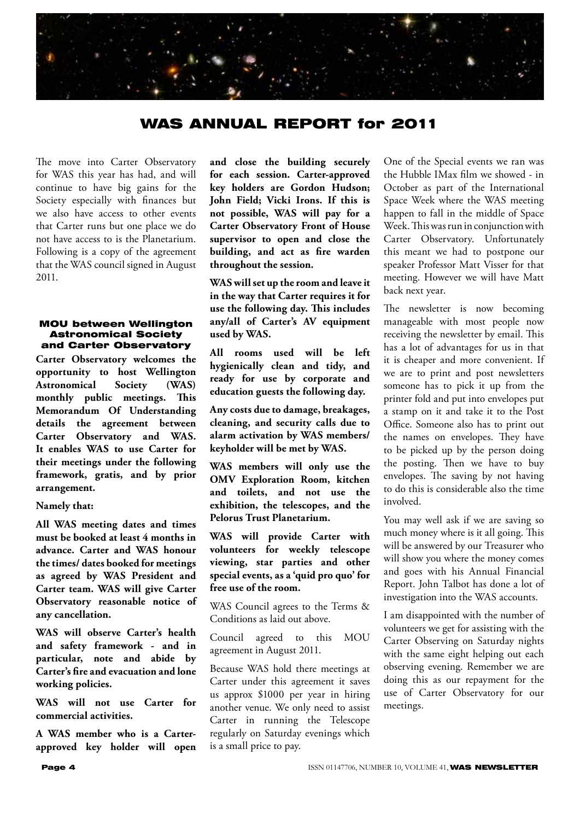

#### WAS ANNUAL REPORT for 2011

The move into Carter Observatory for WAS this year has had, and will continue to have big gains for the Society especially with finances but we also have access to other events that Carter runs but one place we do not have access to is the Planetarium. Following is a copy of the agreement that the WAS council signed in August 2011.

#### MOU between Wellington Astronomical Society and Carter Observatory

**Carter Observatory welcomes the opportunity to host Wellington Astronomical Society (WAS) monthly public meetings. This Memorandum Of Understanding details the agreement between Carter Observatory and WAS. It enables WAS to use Carter for their meetings under the following framework, gratis, and by prior arrangement.**

#### **Namely that:**

**All WAS meeting dates and times must be booked at least 4 months in advance. Carter and WAS honour the times/ dates booked for meetings as agreed by WAS President and Carter team. WAS will give Carter Observatory reasonable notice of any cancellation.**

**WAS will observe Carter's health and safety framework - and in particular, note and abide by Carter's fire and evacuation and lone working policies.**

**WAS will not use Carter for commercial activities.** 

**A WAS member who is a Carterapproved key holder will open**  **and close the building securely for each session. Carter-approved key holders are Gordon Hudson; John Field; Vicki Irons. If this is not possible, WAS will pay for a Carter Observatory Front of House supervisor to open and close the building, and act as fire warden throughout the session.**

**WAS will set up the room and leave it in the way that Carter requires it for use the following day. This includes any/all of Carter's AV equipment used by WAS.**

**All rooms used will be left hygienically clean and tidy, and ready for use by corporate and education guests the following day.**

**Any costs due to damage, breakages, cleaning, and security calls due to alarm activation by WAS members/ keyholder will be met by WAS.**

**WAS members will only use the OMV Exploration Room, kitchen and toilets, and not use the exhibition, the telescopes, and the Pelorus Trust Planetarium.**

**WAS will provide Carter with volunteers for weekly telescope viewing, star parties and other special events, as a 'quid pro quo' for free use of the room.** 

WAS Council agrees to the Terms & Conditions as laid out above.

Council agreed to this MOU agreement in August 2011.

Because WAS hold there meetings at Carter under this agreement it saves us approx \$1000 per year in hiring another venue. We only need to assist Carter in running the Telescope regularly on Saturday evenings which is a small price to pay.

One of the Special events we ran was the Hubble IMax film we showed - in October as part of the International Space Week where the WAS meeting happen to fall in the middle of Space Week. This was run in conjunction with Carter Observatory. Unfortunately this meant we had to postpone our speaker Professor Matt Visser for that meeting. However we will have Matt back next year.

The newsletter is now becoming manageable with most people now receiving the newsletter by email. This has a lot of advantages for us in that it is cheaper and more convenient. If we are to print and post newsletters someone has to pick it up from the printer fold and put into envelopes put a stamp on it and take it to the Post Office. Someone also has to print out the names on envelopes. They have to be picked up by the person doing the posting. Then we have to buy envelopes. The saving by not having to do this is considerable also the time involved.

You may well ask if we are saving so much money where is it all going. This will be answered by our Treasurer who will show you where the money comes and goes with his Annual Financial Report. John Talbot has done a lot of investigation into the WAS accounts.

I am disappointed with the number of volunteers we get for assisting with the Carter Observing on Saturday nights with the same eight helping out each observing evening. Remember we are doing this as our repayment for the use of Carter Observatory for our meetings.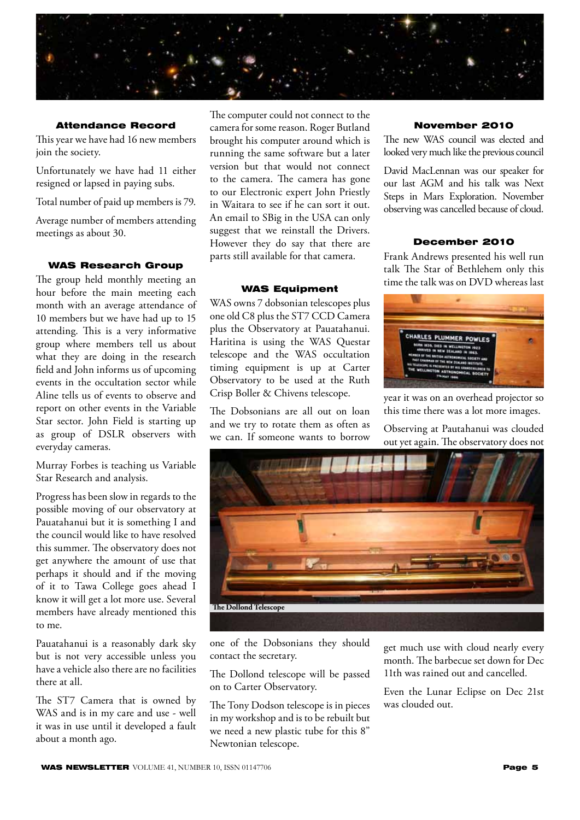

#### Attendance Record

This year we have had 16 new members join the society.

Unfortunately we have had 11 either resigned or lapsed in paying subs.

Total number of paid up members is 79.

Average number of members attending meetings as about 30.

#### WAS Research Group

The group held monthly meeting an hour before the main meeting each month with an average attendance of 10 members but we have had up to 15 attending. This is a very informative group where members tell us about what they are doing in the research field and John informs us of upcoming events in the occultation sector while Aline tells us of events to observe and report on other events in the Variable Star sector. John Field is starting up as group of DSLR observers with everyday cameras.

Murray Forbes is teaching us Variable Star Research and analysis.

Progress has been slow in regards to the possible moving of our observatory at Pauatahanui but it is something I and the council would like to have resolved this summer. The observatory does not get anywhere the amount of use that perhaps it should and if the moving of it to Tawa College goes ahead I know it will get a lot more use. Several members have already mentioned this to me.

Pauatahanui is a reasonably dark sky but is not very accessible unless you have a vehicle also there are no facilities there at all.

The ST7 Camera that is owned by WAS and is in my care and use - well it was in use until it developed a fault about a month ago.

The computer could not connect to the camera for some reason. Roger Butland brought his computer around which is running the same software but a later version but that would not connect to the camera. The camera has gone to our Electronic expert John Priestly in Waitara to see if he can sort it out. An email to SBig in the USA can only suggest that we reinstall the Drivers. However they do say that there are parts still available for that camera.

#### WAS Equipment

WAS owns 7 dobsonian telescopes plus one old C8 plus the ST7 CCD Camera plus the Observatory at Pauatahanui. Haritina is using the WAS Questar telescope and the WAS occultation timing equipment is up at Carter Observatory to be used at the Ruth Crisp Boller & Chivens telescope.

The Dobsonians are all out on loan and we try to rotate them as often as we can. If someone wants to borrow

#### November 2010

The new WAS council was elected and looked very much like the previous council

David MacLennan was our speaker for our last AGM and his talk was Next Steps in Mars Exploration. November observing was cancelled because of cloud.

#### December 2010

Frank Andrews presented his well run talk The Star of Bethlehem only this time the talk was on DVD whereas last



year it was on an overhead projector so this time there was a lot more images.

Observing at Pautahanui was clouded out yet again. The observatory does not



one of the Dobsonians they should contact the secretary.

The Dollond telescope will be passed on to Carter Observatory.

The Tony Dodson telescope is in pieces in my workshop and is to be rebuilt but we need a new plastic tube for this 8" Newtonian telescope.

get much use with cloud nearly every month. The barbecue set down for Dec 11th was rained out and cancelled.

Even the Lunar Eclipse on Dec 21st was clouded out.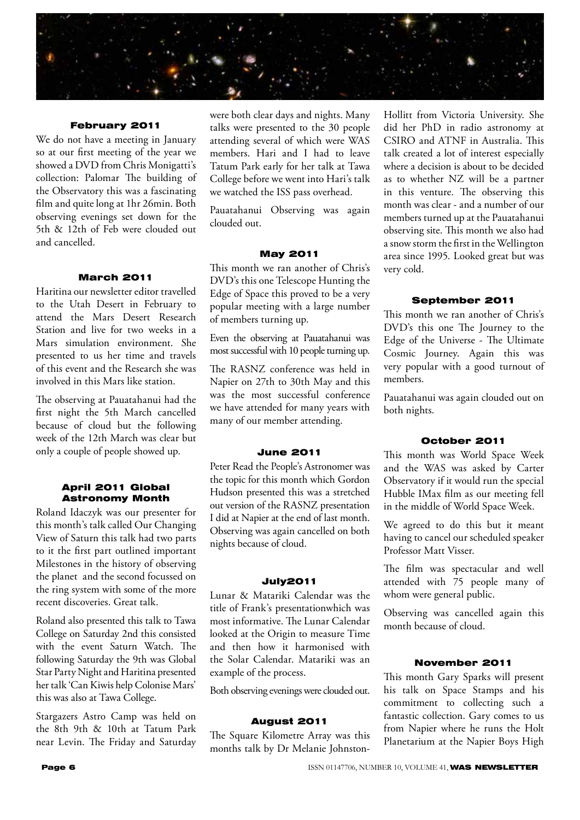

#### February 2011

We do not have a meeting in January so at our first meeting of the year we showed a DVD from Chris Monigatti's collection: Palomar The building of the Observatory this was a fascinating film and quite long at 1hr 26min. Both observing evenings set down for the 5th & 12th of Feb were clouded out and cancelled.

#### March 2011

Haritina our newsletter editor travelled to the Utah Desert in February to attend the Mars Desert Research Station and live for two weeks in a Mars simulation environment. She presented to us her time and travels of this event and the Research she was involved in this Mars like station.

The observing at Pauatahanui had the first night the 5th March cancelled because of cloud but the following week of the 12th March was clear but only a couple of people showed up.

#### April 2011 Global Astronomy Month

Roland Idaczyk was our presenter for this month's talk called Our Changing View of Saturn this talk had two parts to it the first part outlined important Milestones in the history of observing the planet and the second focussed on the ring system with some of the more recent discoveries. Great talk.

Roland also presented this talk to Tawa College on Saturday 2nd this consisted with the event Saturn Watch. The following Saturday the 9th was Global Star Party Night and Haritina presented her talk 'Can Kiwis help Colonise Mars' this was also at Tawa College.

Stargazers Astro Camp was held on the 8th 9th & 10th at Tatum Park near Levin. The Friday and Saturday were both clear days and nights. Many talks were presented to the 30 people attending several of which were WAS members. Hari and I had to leave Tatum Park early for her talk at Tawa College before we went into Hari's talk we watched the ISS pass overhead.

Pauatahanui Observing was again clouded out.

#### May 2011

This month we ran another of Chris's DVD's this one Telescope Hunting the Edge of Space this proved to be a very popular meeting with a large number of members turning up.

Even the observing at Pauatahanui was most successful with 10 people turning up.

The RASNZ conference was held in Napier on 27th to 30th May and this was the most successful conference we have attended for many years with many of our member attending.

#### June 2011

Peter Read the People's Astronomer was the topic for this month which Gordon Hudson presented this was a stretched out version of the RASNZ presentation I did at Napier at the end of last month. Observing was again cancelled on both nights because of cloud.

#### July2011

Lunar & Matariki Calendar was the title of Frank's presentationwhich was most informative. The Lunar Calendar looked at the Origin to measure Time and then how it harmonised with the Solar Calendar. Matariki was an example of the process.

Both observing evenings were clouded out.

#### August 2011

The Square Kilometre Array was this months talk by Dr Melanie Johnston-

Hollitt from Victoria University. She did her PhD in radio astronomy at CSIRO and ATNF in Australia. This talk created a lot of interest especially where a decision is about to be decided as to whether NZ will be a partner in this venture. The observing this month was clear - and a number of our members turned up at the Pauatahanui observing site. This month we also had a snow storm the first in the Wellington area since 1995. Looked great but was very cold.

#### September 2011

This month we ran another of Chris's DVD's this one The Journey to the Edge of the Universe - The Ultimate Cosmic Journey. Again this was very popular with a good turnout of members.

Pauatahanui was again clouded out on both nights.

#### October 2011

This month was World Space Week and the WAS was asked by Carter Observatory if it would run the special Hubble IMax film as our meeting fell in the middle of World Space Week.

We agreed to do this but it meant having to cancel our scheduled speaker Professor Matt Visser.

The film was spectacular and well attended with 75 people many of whom were general public.

Observing was cancelled again this month because of cloud.

#### November 2011

This month Gary Sparks will present his talk on Space Stamps and his commitment to collecting such a fantastic collection. Gary comes to us from Napier where he runs the Holt Planetarium at the Napier Boys High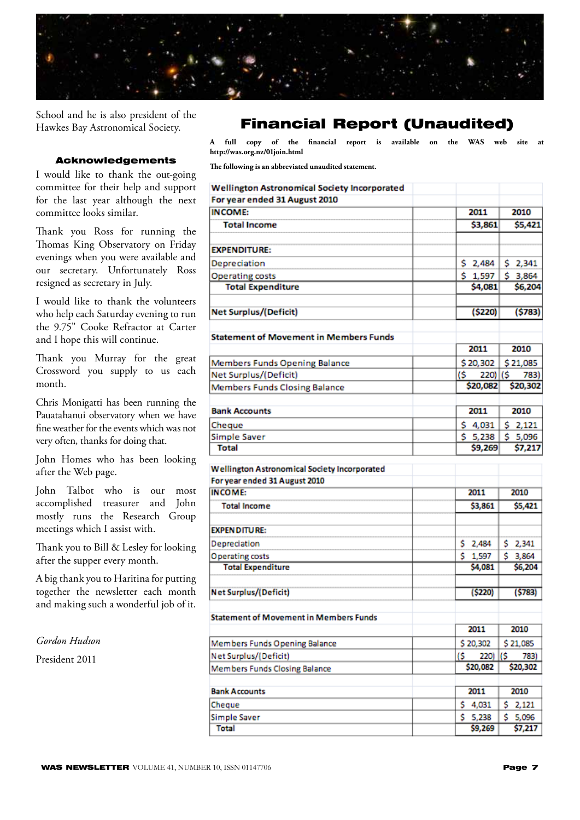

School and he is also president of the Hawkes Bay Astronomical Society.

#### Acknowledgements

I would like to thank the out-going committee for their help and support for the last year although the next committee looks similar.

Thank you Ross for running the Thomas King Observatory on Friday evenings when you were available and our secretary. Unfortunately Ross resigned as secretary in July.

I would like to thank the volunteers who help each Saturday evening to run the 9.75" Cooke Refractor at Carter and I hope this will continue.

Thank you Murray for the great Crossword you supply to us each month.

Chris Monigatti has been running the Pauatahanui observatory when we have fine weather for the events which was not very often, thanks for doing that.

John Homes who has been looking after the Web page.

John Talbot who is our most accomplished treasurer and John mostly runs the Research Group meetings which I assist with.

Thank you to Bill & Lesley for looking after the supper every month.

A big thank you to Haritina for putting together the newsletter each month and making such a wonderful job of it.

*Gordon Hudson*

President 2011

#### Financial Report (Unaudited)

**A full copy of the financial report is available on the WAS web site at http://was.org.nz/01join.html**

**The following is an abbreviated unaudited statement.**

| <b>Wellington Astronomical Society Incorporated</b> |                    |                    |
|-----------------------------------------------------|--------------------|--------------------|
| For year ended 31 August 2010                       |                    |                    |
| <b>INCOME:</b>                                      | 2011               | 2010               |
| <b>Total Income</b>                                 | \$3,861            | \$5,421            |
| <b>EXPENDITURE:</b>                                 |                    |                    |
| Depreciation                                        | \$2,484            | \$2,341            |
| <b>Operating costs</b>                              | \$1,597            | \$3,864            |
| <b>Total Expenditure</b>                            | \$4,081            | \$6,204            |
| Net Surplus/(Deficit)                               | (\$220)            | (\$783)            |
| <b>Statement of Movement in Members Funds</b>       |                    |                    |
|                                                     | 2011               | 2010               |
| Members Funds Opening Balance                       | \$20,302           | \$21,085           |
| Net Surplus/(Deficit)                               | (\$<br>220) (\$    | 783)               |
| Members Funds Closing Balance                       | \$20,082           | \$20,302           |
|                                                     |                    |                    |
| <b>Bank Accounts</b>                                | 2011               | 2010               |
| Cheque                                              | \$4,031            | \$2,121            |
| Simple Saver<br><b>Total</b>                        | \$5,238<br>\$9,269 | \$5,096<br>\$7,217 |
| For year ended 31 August 2010<br><b>INCOME:</b>     | 2011               | 2010               |
|                                                     |                    |                    |
| <b>Total Income</b>                                 | \$3,861            | \$5,421            |
| <b>EXPENDITURE:</b>                                 |                    |                    |
| Depreciation                                        | \$2,484            | \$2,341            |
| Operating costs                                     | \$1,597            | \$3,864            |
| <b>Total Expenditure</b>                            | \$4,081            | \$6,204            |
| Net Surplus/(Deficit)                               | (\$220)            | (5783)             |
|                                                     |                    |                    |
| Statement of Movement in Members Funds              |                    |                    |
|                                                     | 2011               | 2010               |
| Members Funds Opening Balance                       | \$20,302           | \$21,085           |
| Net Surplus/(Deficit)                               | 220) (\$<br>(S     | 783)               |
| Members Funds Closing Balance                       | \$20,082           | \$20,302           |
| <b>Bank Accounts</b>                                | 2011               | 2010               |
| Cheque                                              | s.<br>4,031        | s.<br>2,121        |
| Simple Saver                                        | \$5,238            | \$.<br>5,096       |
| Total                                               | \$9,269            | 57.217             |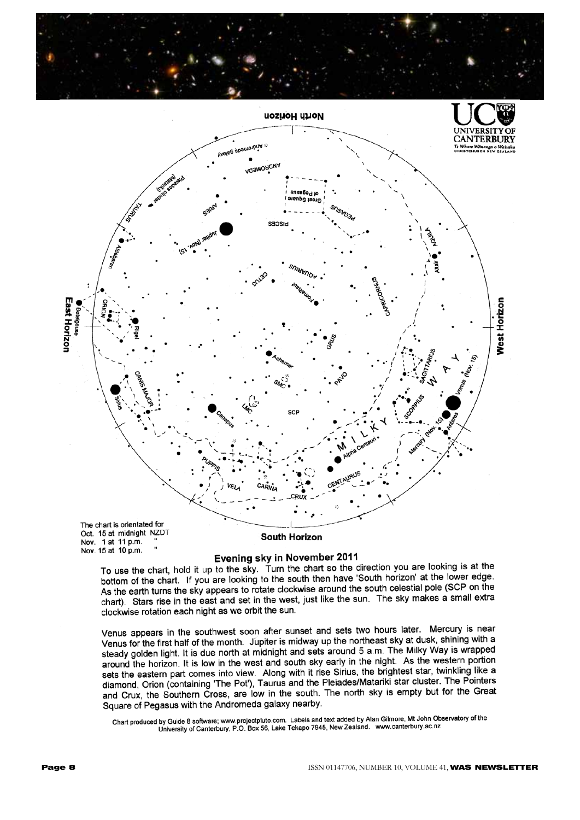



Evening sky in November 2011

To use the chart, hold it up to the sky. Turn the chart so the direction you are looking is at the bottom of the chart. If you are looking to the south then have 'South horizon' at the lower edge. As the earth turns the sky appears to rotate clockwise around the south celestial pole (SCP on the chart). Stars rise in the east and set in the west, just like the sun. The sky makes a small extra clockwise rotation each night as we orbit the sun.

Venus appears in the southwest soon after sunset and sets two hours later. Mercury is near Venus appears in the southwest soon after same and sets the northeast sky at dusk, shining with a<br>Venus for the first half of the month. Jupiter is midway up the northeast sky at dusk, shining with a steady golden light. It is due north at midnight and sets around 5 a.m. The Milky Way is wrapped steady golden light. It is due north at midnight and sets around 5 a.m. The willy truly to independent around the horizon. It is low in the west and south sky early in the night. As the western portion sets the eastern part comes into view. Along with it rise Sirius, the brightest star, twinkling like a<br>sets the eastern part comes into view. Along with it rise Sirius, the brightest star, twinkling like a diamond, Orion (containing 'The Pot'), Taurus and the Pleiades/Matariki star cluster. The Pointers alamond, Orion (containing The Pot), Taulus and the Heladesmialant star station. The Context Square of Pegasus with the Andromeda galaxy nearby.

-<br>Chart produced by Guide 8 software; www.projectpluto.com. Labels and text added by Alan Gilmore, Mt John Observatory of the<br>University of Canterbury, P.O. Box 56, Lake Tekapo 7945, New Zealand. www.canterbury.ac.nz

Nov. 15 at 10 p.m.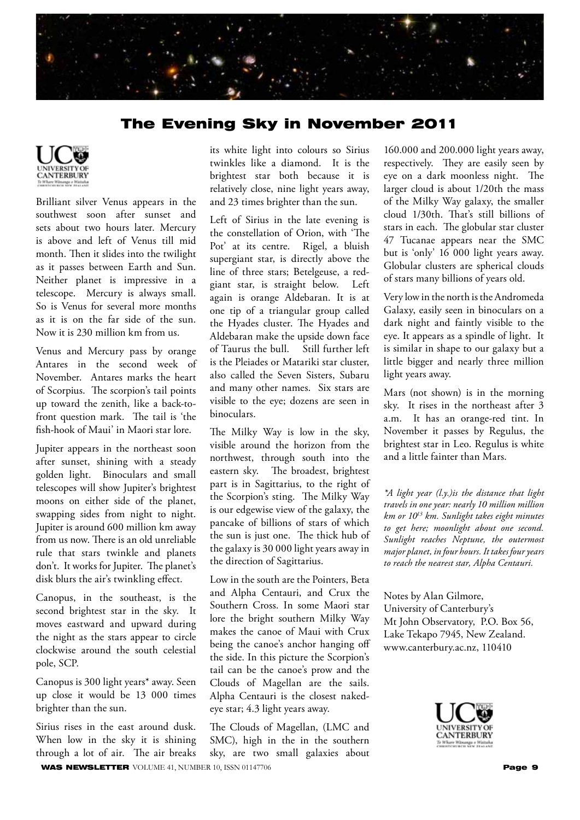

#### The Evening Sky in November 2011



Brilliant silver Venus appears in the southwest soon after sunset and sets about two hours later. Mercury is above and left of Venus till mid month. Then it slides into the twilight as it passes between Earth and Sun. Neither planet is impressive in a telescope. Mercury is always small. So is Venus for several more months as it is on the far side of the sun. Now it is 230 million km from us.

Venus and Mercury pass by orange Antares in the second week of November. Antares marks the heart of Scorpius. The scorpion's tail points up toward the zenith, like a back-tofront question mark. The tail is 'the fish-hook of Maui' in Maori star lore.

Jupiter appears in the northeast soon after sunset, shining with a steady golden light. Binoculars and small telescopes will show Jupiter's brightest moons on either side of the planet, swapping sides from night to night. Jupiter is around 600 million km away from us now. There is an old unreliable rule that stars twinkle and planets don't. It works for Jupiter. The planet's disk blurs the air's twinkling effect.

Canopus, in the southeast, is the second brightest star in the sky. It moves eastward and upward during the night as the stars appear to circle clockwise around the south celestial pole, SCP.

Canopus is 300 light years\* away. Seen up close it would be 13 000 times brighter than the sun.

Sirius rises in the east around dusk. When low in the sky it is shining through a lot of air. The air breaks

its white light into colours so Sirius twinkles like a diamond. It is the brightest star both because it is relatively close, nine light years away, and 23 times brighter than the sun.

Left of Sirius in the late evening is the constellation of Orion, with 'The Pot' at its centre. Rigel, a bluish supergiant star, is directly above the line of three stars; Betelgeuse, a redgiant star, is straight below. Left again is orange Aldebaran. It is at one tip of a triangular group called the Hyades cluster. The Hyades and Aldebaran make the upside down face of Taurus the bull. Still further left is the Pleiades or Matariki star cluster, also called the Seven Sisters, Subaru and many other names. Six stars are visible to the eye; dozens are seen in binoculars.

The Milky Way is low in the sky, visible around the horizon from the northwest, through south into the eastern sky. The broadest, brightest part is in Sagittarius, to the right of the Scorpion's sting. The Milky Way is our edgewise view of the galaxy, the pancake of billions of stars of which the sun is just one. The thick hub of the galaxy is 30 000 light years away in the direction of Sagittarius.

Low in the south are the Pointers, Beta and Alpha Centauri, and Crux the Southern Cross. In some Maori star lore the bright southern Milky Way makes the canoe of Maui with Crux being the canoe's anchor hanging off the side. In this picture the Scorpion's tail can be the canoe's prow and the Clouds of Magellan are the sails. Alpha Centauri is the closest nakedeye star; 4.3 light years away.

WAS NEWSLETTER VOLUME 41, NUMBER 10, ISSN 01147706 Page 9 The Clouds of Magellan, (LMC and SMC), high in the in the southern sky, are two small galaxies about

160.000 and 200.000 light years away, respectively. They are easily seen by eye on a dark moonless night. The larger cloud is about 1/20th the mass of the Milky Way galaxy, the smaller cloud 1/30th. That's still billions of stars in each. The globular star cluster 47 Tucanae appears near the SMC but is 'only' 16 000 light years away. Globular clusters are spherical clouds of stars many billions of years old.

Very low in the north is the Andromeda Galaxy, easily seen in binoculars on a dark night and faintly visible to the eye. It appears as a spindle of light. It is similar in shape to our galaxy but a little bigger and nearly three million light years away.

Mars (not shown) is in the morning sky. It rises in the northeast after 3 a.m. It has an orange-red tint. In November it passes by Regulus, the brightest star in Leo. Regulus is white and a little fainter than Mars.

*\*A light year (l.y.)is the distance that light travels in one year: nearly 10 million million km or 1013 km. Sunlight takes eight minutes to get here; moonlight about one second. Sunlight reaches Neptune, the outermost major planet, in four hours. It takes four years to reach the nearest star, Alpha Centauri.*

Notes by Alan Gilmore, University of Canterbury's Mt John Observatory, P.O. Box 56, Lake Tekapo 7945, New Zealand. www.canterbury.ac.nz, 110410

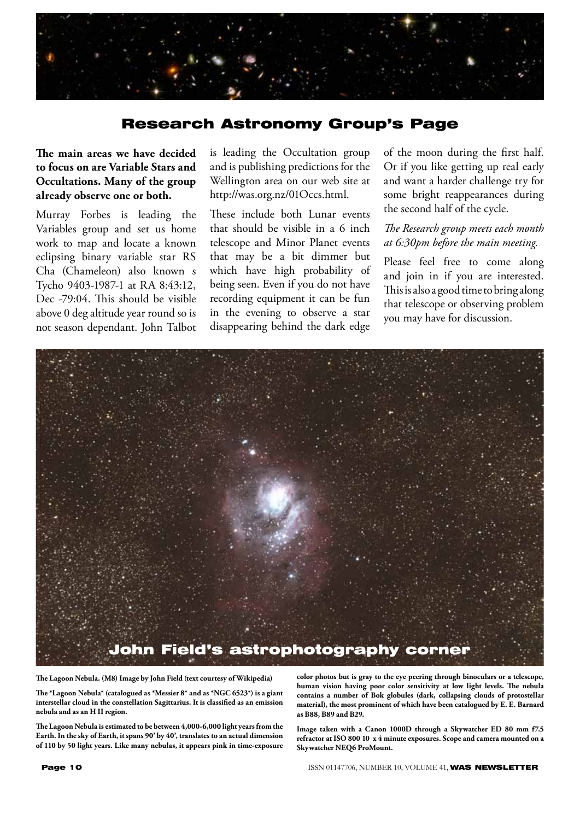

#### Research Astronomy Group's Page

#### **The main areas we have decided to focus on are Variable Stars and Occultations. Many of the group already observe one or both.**

Murray Forbes is leading the Variables group and set us home work to map and locate a known eclipsing binary variable star RS Cha (Chameleon) also known s Tycho 9403-1987-1 at RA 8:43:12, Dec -79:04. This should be visible above 0 deg altitude year round so is not season dependant. John Talbot is leading the Occultation group and is publishing predictions for the Wellington area on our web site at http://was.org.nz/01Occs.html.

These include both Lunar events that should be visible in a 6 inch telescope and Minor Planet events that may be a bit dimmer but which have high probability of being seen. Even if you do not have recording equipment it can be fun in the evening to observe a star disappearing behind the dark edge

of the moon during the first half. Or if you like getting up real early and want a harder challenge try for some bright reappearances during the second half of the cycle.

#### *The Research group meets each month at 6:30pm before the main meeting.*

Please feel free to come along and join in if you are interested. This is also a good time to bring along that telescope or observing problem you may have for discussion.



**The Lagoon Nebula. (M8) Image by John Field (text courtesy of Wikipedia)**

**The \*Lagoon Nebula\* (catalogued as \*Messier 8\* and as \*NGC 6523\*) is a giant interstellar cloud in the constellation Sagittarius. It is classified as an emission nebula and as an H II region.**

**The Lagoon Nebula is estimated to be between 4,000-6,000 light years from the Earth. In the sky of Earth, it spans 90' by 40', translates to an actual dimension of 110 by 50 light years. Like many nebulas, it appears pink in time-exposure** 

**color photos but is gray to the eye peering through binoculars or a telescope, human vision having poor color sensitivity at low light levels. The nebula contains a number of Bok globules (dark, collapsing clouds of protostellar material), the most prominent of which have been catalogued by E. E. Barnard as B88, B89 and B29.**

**Image taken with a Canon 1000D through a Skywatcher ED 80 mm f7.5 refractor at ISO 800 10 x 4 minute exposures. Scope and camera mounted on a Skywatcher NEQ6 ProMount.**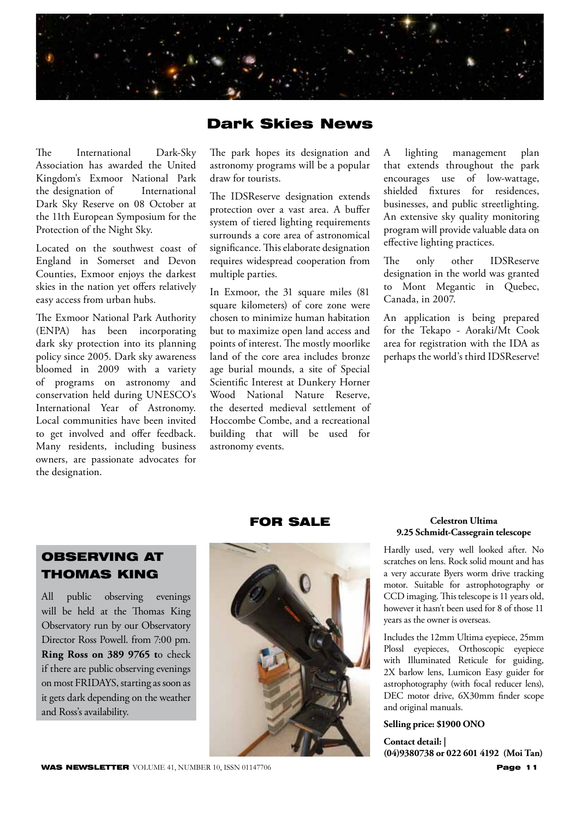

#### Dark Skies News

The International Dark-Sky Association has awarded the United Kingdom's Exmoor National Park the designation of International Dark Sky Reserve on 08 October at the 11th European Symposium for the Protection of the Night Sky.

Located on the southwest coast of England in Somerset and Devon Counties, Exmoor enjoys the darkest skies in the nation yet offers relatively easy access from urban hubs.

The Exmoor National Park Authority (ENPA) has been incorporating dark sky protection into its planning policy since 2005. Dark sky awareness bloomed in 2009 with a variety of programs on astronomy and conservation held during UNESCO's International Year of Astronomy. Local communities have been invited to get involved and offer feedback. Many residents, including business owners, are passionate advocates for the designation.

The park hopes its designation and astronomy programs will be a popular draw for tourists.

The IDSReserve designation extends protection over a vast area. A buffer system of tiered lighting requirements surrounds a core area of astronomical significance. This elaborate designation requires widespread cooperation from multiple parties.

In Exmoor, the 31 square miles (81 square kilometers) of core zone were chosen to minimize human habitation but to maximize open land access and points of interest. The mostly moorlike land of the core area includes bronze age burial mounds, a site of Special Scientific Interest at Dunkery Horner Wood National Nature Reserve, the deserted medieval settlement of Hoccombe Combe, and a recreational building that will be used for astronomy events.

A lighting management plan that extends throughout the park encourages use of low-wattage, shielded fixtures for residences, businesses, and public streetlighting. An extensive sky quality monitoring program will provide valuable data on effective lighting practices.

The only other IDSReserve designation in the world was granted to Mont Megantic in Quebec, Canada, in 2007.

An application is being prepared for the Tekapo - Aoraki/Mt Cook area for registration with the IDA as perhaps the world's third IDSReserve!

#### OBSERVING AT THOMAS KING

All public observing evenings will be held at the Thomas King Observatory run by our Observatory Director Ross Powell. from 7:00 pm. **Ring Ross on 389 9765 t**o check if there are public observing evenings on most FRIDAYS, starting as soon as it gets dark depending on the weather and Ross's availability.



FOR SALE

#### **Celestron Ultima 9.25 Schmidt-Cassegrain telescope**

Hardly used, very well looked after. No scratches on lens. Rock solid mount and has a very accurate Byers worm drive tracking motor. Suitable for astrophotography or CCD imaging. This telescope is 11 years old, however it hasn't been used for 8 of those 11 years as the owner is overseas.

Includes the 12mm Ultima eyepiece, 25mm Plossl eyepieces, Orthoscopic eyepiece with Illuminated Reticule for guiding, 2X barlow lens, Lumicon Easy guider for astrophotography (with focal reducer lens), DEC motor drive, 6X30mm finder scope and original manuals.

#### **Selling price: \$1900 ONO**

**Contact detail: | (04)9380738 or 022 601 4192 (Moi Tan)**